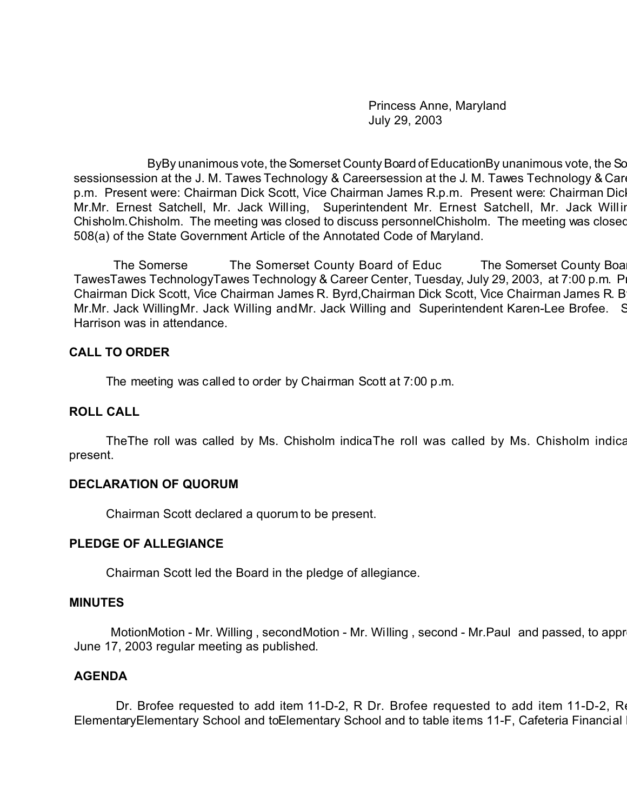Princess Anne, Maryland July 29, 2003

ByBy unanimous vote, the Somerset County Board of EducationBy unanimous vote, the Sc sessionsession at the J. M. Tawes Technology & Careersession at the J. M. Tawes Technology & Career Center, Tuesday, A p.m. Present were: Chairman Dick Scott, Vice Chairman James R.p.m. Present were: Chairman Dic Mr.Mr. Ernest Satchell, Mr. Jack Willing, Superintendent Mr. Ernest Satchell, Mr. Jack Willin Chisholm. Chisholm. The meeting was closed to discuss personnelChisholm. The meeting was closed 508(a) of the State Government Article of the Annotated Code of Maryland.

The Somerse The Somerset County Board of Educ The Somerset County Board of Education met in a regular session met in a regular session met in a regular session at the Somerset County Board set in a regular session at the S TawesTawes TechnologyTawes Technology & Career Center, Tuesday, July 29, 2003, at 7:00 p.m. P Chairman Dick Scott, Vice Chairman James R. Byrd, Chairman Dick Scott, Vice Chairman James R. B Mr.Mr. Jack WillingMr. Jack Willing andMr. Jack Willing and Superintendent Karen-Lee Brofee. Student Harrison was in attendance.

#### **CALL TO ORDER**

The meeting was called to order by Chairman Scott at 7:00 p.m.

#### **ROLL CALL**

The The roll was called by Ms. Chisholm indica The roll was called by Ms. Chisholm indication that all Board members were members were related by Ms. Chisholm indication members were were were all Board members were were w present.

### **DECLARATION OF QUORUM**

Chairman Scott declared a quorum to be present.

#### **PLEDGE OF ALLEGIANCE**

Chairman Scott led the Board in the pledge of allegiance.

#### **MINUTES**

MotionMotion - Mr. Willing , secondMotion - Mr. Willing , second - Mr.Paul and passed, to appr June 17, 2003 regular meeting as published.

### **AGENDA**

Dr. Brofee requested to add item 11-D-2, R Dr. Brofee requested to add item 11-D-2, Re ElementaryElementary School and toElementary School and to table items 11-F, Cafeteria Financial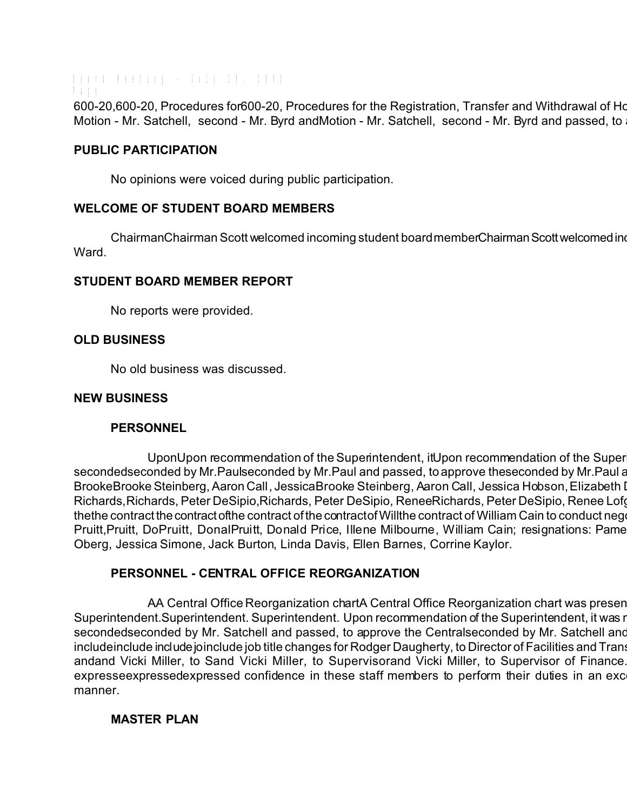Board Meeting - July 29, 2003 Page 600-20,600-20, Procedures for600-20, Procedures for the Registration, Transfer and Withdrawal of Homeless Children. Motion - Mr. Satchell, second - Mr. Byrd andMotion - Mr. Satchell, second - Mr. Byrd and passed, to

## **PUBLIC PARTICIPATION**

No opinions were voiced during public participation.

# **WELCOME OF STUDENT BOARD MEMBERS**

ChairmanChairman Scott welcomed incoming student board memberChairman Scott welcomed in Ward.

# **STUDENT BOARD MEMBER REPORT**

No reports were provided.

# **OLD BUSINESS**

No old business was discussed.

### **NEW BUSINESS**

### **PERSONNEL**

UponUpon recommendation of the Superintendent, it Upon recommendation of the Super secondedseconded by Mr.Paulseconded by Mr.Paul and passed, to approve theseconded by Mr.Paul and personnel actions: new hires: new hires: new hires: new hires: new hires: new hires: new hires: new hires: new hires: new hir BrookeBrooke Steinberg, Aaron Call, JessicaBrooke Steinberg, Aaron Call, Jessica Hobson, Elizabeth I Richards, Richards, Peter DeSipio, Richards, Peter DeSipio, ReneeRichards, Peter DeSipio, Renee Lofg thethe contract the contract ofthe contract of the contract of Willthe contract of William Cain to conduct neg Pruitt, Pruitt, DoPruitt, DonalPruitt, Donald Price, Illene Milbourne, William Cain; resignations: Pame Oberg, Jessica Simone, Jack Burton, Linda Davis, Ellen Barnes, Corrine Kaylor.

# **PERSONNEL - CENTRAL OFFICE REORGANIZATION**

AA Central Office Reorganization chartA Central Office Reorganization chart was presented and explained and explained and explained and explained and explained and explained and explained and explained and explained and ex Superintendent. Superintendent. Superintendent. Upon recommendation of the Superintendent, it was r secondedseconded by Mr. Satchell and passed, to approve the Centralseconded by Mr. Satchell and includeinclude include joinclude job title changes for Rodger Daugherty, to Director of Facilities and Trans andand Vicki Miller, to Sand Vicki Miller, to Supervisorand Vicki Miller, to Supervisor of Finance. expresseexpressedexpressed confidence in these staff members to perform their duties in an exc manner.

### **MASTER PLAN**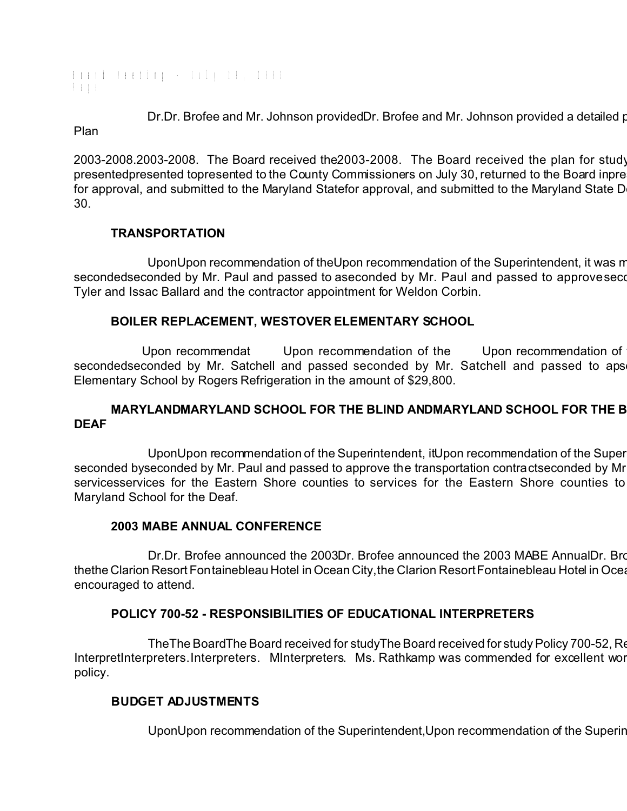Board Meeting - July 29, 2003 Page

Dr.Dr. Brofee and Mr. Johnson providedDr. Brofee and Mr. Johnson provided a detailed presentation of the Master Plan

2003-2008.2003-2008. The Board received the 2003-2008. The Board received the plan for study presentedpresented topresented to the County Commissioners on July 30, returned to the Board in pre for approval, and submitted to the Maryland Statefor approval, and submitted to the Maryland State D 30.

# **TRANSPORTATION**

UponUpon recommendation of theUpon recommendation of the Superintendent, it was m secondedseconded by Mr. Paul and passed to aseconded by Mr. Paul and passed to approve seconded by Mr. Paul and Tyler and Issac Ballard and the contractor appointment for Weldon Corbin.

# **BOILER REPLACEMENT, WESTOVER ELEMENTARY SCHOOL**

Upon recommendat Upon recommendation of the Upon recommendation of secondedseconded by Mr. Satchell and passed seconded by Mr. Satchell and passed to aps Elementary School by Rogers Refrigeration in the amount of \$29,800.

## MARYLANDMARYLAND SCHOOL FOR THE BLIND ANDMARYLAND SCHOOL FOR THE B **DEAF**

UponUpon recommendation of the Superintendent, it Upon recommendation of the Super seconded byseconded by Mr. Paul and passed to approve the transportation contractseconded by Mr servicesservices for the Eastern Shore counties to services for the Eastern Shore counties to Maryland School for the Deaf.

### **2003 MABE ANNUAL CONFERENCE**

Dr.Dr. Brofee announced the 2003Dr. Brofee announced the 2003 MABE Annual Dr. Bro thethe Clarion Resort Fontainebleau Hotel in Ocean City, the Clarion Resort Fontainebleau Hotel in Ocea encouraged to attend.

# **POLICY 700-52 - RESPONSIBILITIES OF EDUCATIONAL INTERPRETERS**

The The Board The Board received for study The Board received for study Policy 700-52, Re InterpretInterpreters.Interpreters. MInterpreters. Ms. Rathkamp was commended for excellent wor policy.

### **BUDGET ADJUSTMENTS**

UponUpon recommendation of the Superintendent, Upon recommendation of the Superin